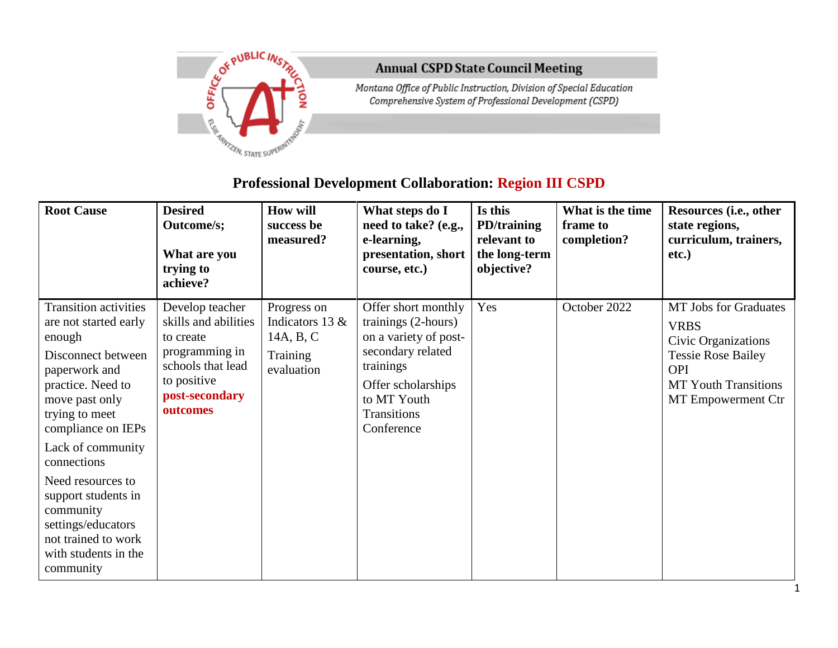

## **Annual CSPD State Council Meeting**

Montana Office of Public Instruction, Division of Special Education Comprehensive System of Professional Development (CSPD)

## **Professional Development Collaboration: Region III CSPD**

| <b>Root Cause</b>                                                                                                                                                                                          | <b>Desired</b><br>Outcome/s;<br>What are you<br>trying to<br>achieve?                                                                    | <b>How will</b><br>success be<br>measured?                              | What steps do I<br>need to take? (e.g.,<br>e-learning,<br>presentation, short<br>course, etc.)                                                                          | Is this<br><b>PD/training</b><br>relevant to<br>the long-term<br>objective? | What is the time<br>frame to<br>completion? | Resources (i.e., other<br>state regions,<br>curriculum, trainers,<br>etc.)                                                                                         |
|------------------------------------------------------------------------------------------------------------------------------------------------------------------------------------------------------------|------------------------------------------------------------------------------------------------------------------------------------------|-------------------------------------------------------------------------|-------------------------------------------------------------------------------------------------------------------------------------------------------------------------|-----------------------------------------------------------------------------|---------------------------------------------|--------------------------------------------------------------------------------------------------------------------------------------------------------------------|
| <b>Transition activities</b><br>are not started early<br>enough<br>Disconnect between<br>paperwork and<br>practice. Need to<br>move past only<br>trying to meet<br>compliance on IEPs<br>Lack of community | Develop teacher<br>skills and abilities<br>to create<br>programming in<br>schools that lead<br>to positive<br>post-secondary<br>outcomes | Progress on<br>Indicators 13 $&$<br>14A, B, C<br>Training<br>evaluation | Offer short monthly<br>trainings (2-hours)<br>on a variety of post-<br>secondary related<br>trainings<br>Offer scholarships<br>to MT Youth<br>Transitions<br>Conference | Yes                                                                         | October 2022                                | <b>MT Jobs for Graduates</b><br><b>VRBS</b><br>Civic Organizations<br><b>Tessie Rose Bailey</b><br><b>OPI</b><br><b>MT Youth Transitions</b><br>MT Empowerment Ctr |
| connections<br>Need resources to<br>support students in<br>community<br>settings/educators<br>not trained to work<br>with students in the<br>community                                                     |                                                                                                                                          |                                                                         |                                                                                                                                                                         |                                                                             |                                             |                                                                                                                                                                    |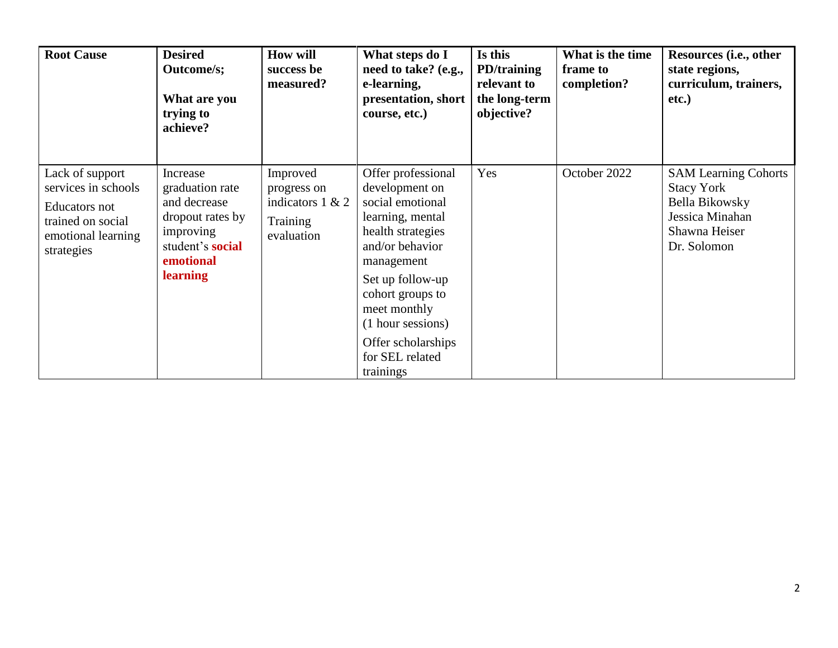| <b>Root Cause</b>                                                                                                | <b>Desired</b><br><b>Outcome/s;</b><br>What are you<br>trying to<br>achieve?                                                            | <b>How will</b><br>success be<br>measured?                              | What steps do I<br>need to take? (e.g.,<br>e-learning,<br>presentation, short<br>course, etc.)                                                                                                                                                                        | Is this<br>PD/training<br>relevant to<br>the long-term<br>objective? | What is the time<br>frame to<br>completion? | Resources (i.e., other<br>state regions,<br>curriculum, trainers,<br>etc.)                                            |
|------------------------------------------------------------------------------------------------------------------|-----------------------------------------------------------------------------------------------------------------------------------------|-------------------------------------------------------------------------|-----------------------------------------------------------------------------------------------------------------------------------------------------------------------------------------------------------------------------------------------------------------------|----------------------------------------------------------------------|---------------------------------------------|-----------------------------------------------------------------------------------------------------------------------|
| Lack of support<br>services in schools<br>Educators not<br>trained on social<br>emotional learning<br>strategies | Increase<br>graduation rate<br>and decrease<br>dropout rates by<br>improving<br>student's <b>social</b><br>emotional<br><b>learning</b> | Improved<br>progress on<br>indicators $1 & 2$<br>Training<br>evaluation | Offer professional<br>development on<br>social emotional<br>learning, mental<br>health strategies<br>and/or behavior<br>management<br>Set up follow-up<br>cohort groups to<br>meet monthly<br>(1 hour sessions)<br>Offer scholarships<br>for SEL related<br>trainings | Yes                                                                  | October 2022                                | <b>SAM Learning Cohorts</b><br><b>Stacy York</b><br>Bella Bikowsky<br>Jessica Minahan<br>Shawna Heiser<br>Dr. Solomon |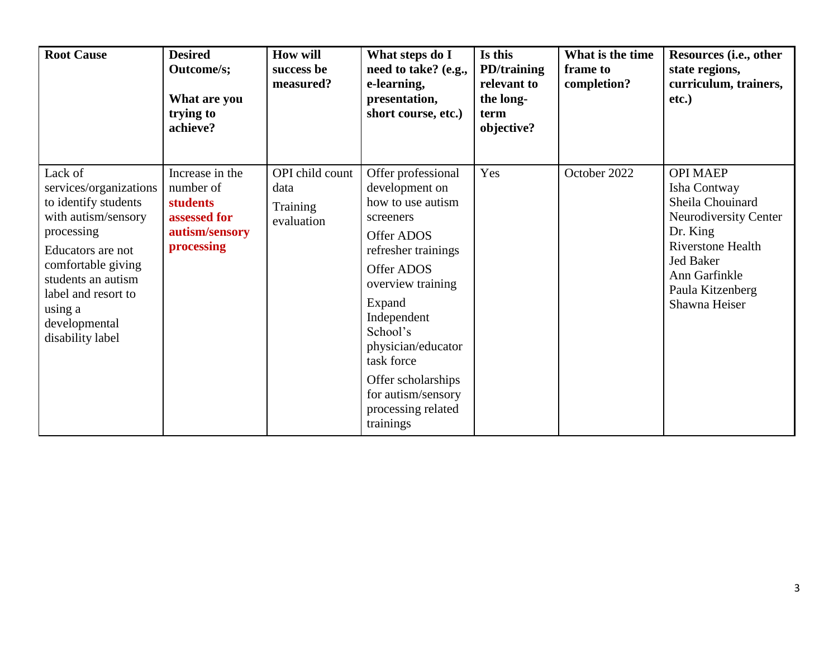| <b>Root Cause</b>                                                                                                                                                                                                                      | <b>Desired</b><br><b>Outcome/s;</b><br>What are you<br>trying to<br>achieve?                    | <b>How will</b><br>success be<br>measured?        | What steps do I<br>need to take? (e.g.,<br>e-learning,<br>presentation,<br>short course, etc.)                                                                                                                                                                                                                | Is this<br>PD/training<br>relevant to<br>the long-<br>term<br>objective? | What is the time<br>frame to<br>completion? | Resources (i.e., other<br>state regions,<br>curriculum, trainers,<br>etc.)                                                                                                                     |
|----------------------------------------------------------------------------------------------------------------------------------------------------------------------------------------------------------------------------------------|-------------------------------------------------------------------------------------------------|---------------------------------------------------|---------------------------------------------------------------------------------------------------------------------------------------------------------------------------------------------------------------------------------------------------------------------------------------------------------------|--------------------------------------------------------------------------|---------------------------------------------|------------------------------------------------------------------------------------------------------------------------------------------------------------------------------------------------|
| Lack of<br>services/organizations<br>to identify students<br>with autism/sensory<br>processing<br>Educators are not<br>comfortable giving<br>students an autism<br>label and resort to<br>using a<br>developmental<br>disability label | Increase in the<br>number of<br><b>students</b><br>assessed for<br>autism/sensory<br>processing | OPI child count<br>data<br>Training<br>evaluation | Offer professional<br>development on<br>how to use autism<br>screeners<br><b>Offer ADOS</b><br>refresher trainings<br>Offer ADOS<br>overview training<br>Expand<br>Independent<br>School's<br>physician/educator<br>task force<br>Offer scholarships<br>for autism/sensory<br>processing related<br>trainings | Yes                                                                      | October 2022                                | <b>OPI MAEP</b><br>Isha Contway<br>Sheila Chouinard<br>Neurodiversity Center<br>Dr. King<br><b>Riverstone Health</b><br><b>Jed Baker</b><br>Ann Garfinkle<br>Paula Kitzenberg<br>Shawna Heiser |